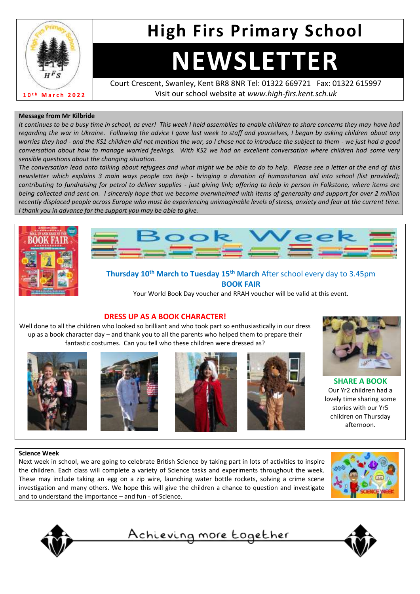

# **High Firs Primary School**

# **NEWSLETTER**

Court Crescent, Swanley, Kent BR8 8NR Tel: 01322 669721 Fax: 01322 615997 Visit our school website at *www.high-firs.kent.sch.uk*

#### **Message from Mr Kilbride**

*It continues to be a busy time in school, as ever! This week I held assemblies to enable children to share concerns they may have had regarding the war in Ukraine. Following the advice I gave last week to staff and yourselves, I began by asking children about any worries they had - and the KS1 children did not mention the war, so I chose not to introduce the subject to them - we just had a good conversation about how to manage worried feelings. With KS2 we had an excellent conversation where children had some very sensible questions about the changing situation.* 

*The conversation lead onto talking about refugees and what might we be able to do to help. Please see a letter at the end of this newsletter which explains 3 main ways people can help - bringing a donation of humanitarian aid into school (list provided); contributing to fundraising for petrol to deliver supplies - just giving link; offering to help in person in Folkstone, where items are being collected and sent on. I sincerely hope that we become overwhelmed with items of generosity and support for over 2 million recently displaced people across Europe who must be experiencing unimaginable levels of stress, anxiety and fear at the current time. I thank you in advance for the support you may be able to give.*





#### **Thursday 10th March to Tuesday 15th March** After school every day to 3.45pm **BOOK FAIR**

Your World Book Day voucher and RRAH voucher will be valid at this event.





Well done to all the children who looked so brilliant and who took part so enthusiastically in our dress up as a book character day – and thank you to all the parents who helped them to prepare their fantastic costumes. Can you tell who these children were dressed as?











**SHARE A BOOK** Our Yr2 children had a lovely time sharing some stories with our Yr5 children on Thursday afternoon.

#### **Science Week**

Next week in school, we are going to celebrate British Science by taking part in lots of activities to inspire the children. Each class will complete a variety of Science tasks and experiments throughout the week. These may include taking an egg on a zip wire, launching water bottle rockets, solving a crime scene investigation and many others. We hope this will give the children a chance to question and investigate and to understand the importance – and fun - of Science.





Achieving more together

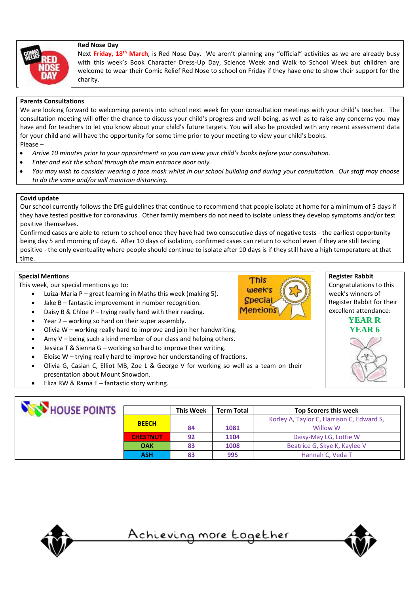#### **Red Nose Day**



Next **Friday, 18th March**, is Red Nose Day. We aren't planning any "official" activities as we are already busy with this week's Book Character Dress-Up Day, Science Week and Walk to School Week but children are welcome to wear their Comic Relief Red Nose to school on Friday if they have one to show their support for the charity.

#### **Parents Consultations**

We are looking forward to welcoming parents into school next week for your consultation meetings with your child's teacher. The consultation meeting will offer the chance to discuss your child's progress and well-being, as well as to raise any concerns you may have and for teachers to let you know about your child's future targets. You will also be provided with any recent assessment data for your child and will have the opportunity for some time prior to your meeting to view your child's books. Please –

- *Arrive 10 minutes prior to your appointment so you can view your child's books before your consultation.*
- *Enter and exit the school through the main entrance door only.*
- *You may wish to consider wearing a face mask whilst in our school building and during your consultation. Our staff may choose to do the same and/or will maintain distancing.*

#### **Covid update**

Our school currently follows the DfE guidelines that continue to recommend that people isolate at home for a minimum of 5 days if they have tested positive for coronavirus. Other family members do not need to isolate unless they develop symptoms and/or test positive themselves.

Confirmed cases are able to return to school once they have had two consecutive days of negative tests - the earliest opportunity being day 5 and morning of day 6. After 10 days of isolation, confirmed cases can return to school even if they are still testing positive - the only eventuality where people should continue to isolate after 10 days is if they still have a high temperature at that time.

#### **Special Mentions**

This week, our special mentions go to:

- Luiza-Maria P great learning in Maths this week (making 5).
- Jake B fantastic improvement in number recognition.
- Daisy B & Chloe  $P trying$  really hard with their reading.
- Year 2 working so hard on their super assembly.
- Olivia W working really hard to improve and join her handwriting.
- Amy  $V$  being such a kind member of our class and helping others.
- Jessica T & Sienna G working so hard to improve their writing.
- Eloise  $W$  trying really hard to improve her understanding of fractions.
- Olivia G, Casian C, Elliot MB, Zoe L & George V for working so well as a team on their presentation about Mount Snowdon.
- Eliza RW & Rama  $E -$  fantastic story writing.

| HOUSE POINTS |                 | <b>This Week</b> | <b>Term Total</b> | <b>Top Scorers this week</b>              |
|--------------|-----------------|------------------|-------------------|-------------------------------------------|
|              | <b>BEECH</b>    |                  |                   | Korley A, Taylor C, Harrison C, Edward S, |
|              |                 | 84               | 1081              | Willow W                                  |
|              | <b>CHESTNUT</b> | 92               | 1104              | Daisy-May LG, Lottie W                    |
|              | <b>OAK</b>      | 83               | 1008              | Beatrice G, Skye K, Kaylee V              |
|              | <b>ASH</b>      | 83               | 995               | Hannah C, Veda T                          |



<u>Achieving more together</u>





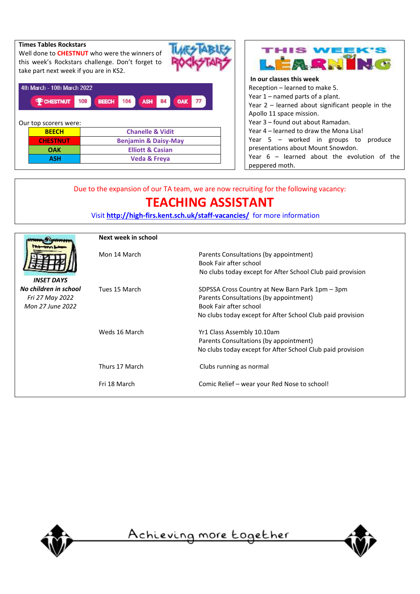| <b>Times Tables Rockstars</b><br>Well done to <b>CHESTNUT</b> who were the winners of<br>this week's Rockstars challenge. Don't forget to<br>take part next week if you are in KS2. |     |                                 |                   |           |  |
|-------------------------------------------------------------------------------------------------------------------------------------------------------------------------------------|-----|---------------------------------|-------------------|-----------|--|
| 4th March - 10th March 2022<br><b>PCHESTNUT</b><br>Our top scorers were:                                                                                                            | 108 | <b>BEECH</b>                    | 106<br><b>ASH</b> | OAK<br>84 |  |
| <b>BEECH</b>                                                                                                                                                                        |     | <b>Chanelle &amp; Vidit</b>     |                   |           |  |
| <b>CHESTNUT</b>                                                                                                                                                                     |     | <b>Benjamin &amp; Daisy-May</b> |                   |           |  |
| OAK                                                                                                                                                                                 |     | <b>Elliott &amp; Casian</b>     |                   |           |  |
| <b>ASH</b>                                                                                                                                                                          |     | Veda & Freya                    |                   |           |  |



#### **In our classes this week**

Reception – learned to make 5. Year 1 – named parts of a plant. Year 2 – learned about significant people in the Apollo 11 space mission. Year 3 – found out about Ramadan. Year 4 – learned to draw the Mona Lisa! Year 5 – worked in groups to produce presentations about Mount Snowdon. Year 6 – learned about the evolution of the peppered moth.

### Due to the expansion of our TA team, we are now recruiting for the following vacancy:

## **TEACHING ASSISTANT**

Visit **<http://high-firs.kent.sch.uk/staff-vacancies/>** for more information

|                                                                                   | Next week in school |                                                                                                                                                                                   |  |  |  |
|-----------------------------------------------------------------------------------|---------------------|-----------------------------------------------------------------------------------------------------------------------------------------------------------------------------------|--|--|--|
|                                                                                   | Mon 14 March        | Parents Consultations (by appointment)<br>Book Fair after school<br>No clubs today except for After School Club paid provision                                                    |  |  |  |
| <b>INSET DAYS</b><br>No children in school<br>Fri 27 May 2022<br>Mon 27 June 2022 | Tues 15 March       | SDPSSA Cross Country at New Barn Park 1pm - 3pm<br>Parents Consultations (by appointment)<br>Book Fair after school<br>No clubs today except for After School Club paid provision |  |  |  |
|                                                                                   | Weds 16 March       | Yr1 Class Assembly 10.10am<br>Parents Consultations (by appointment)<br>No clubs today except for After School Club paid provision                                                |  |  |  |
|                                                                                   | Thurs 17 March      | Clubs running as normal                                                                                                                                                           |  |  |  |
|                                                                                   | Fri 18 March        | Comic Relief – wear your Red Nose to school!                                                                                                                                      |  |  |  |



<u>Achieving more together</u>

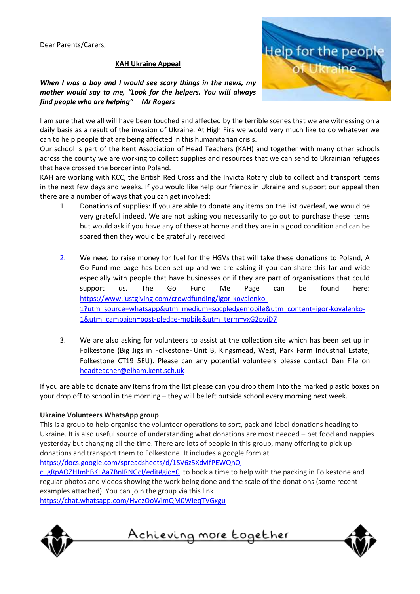Dear Parents/Carers,

#### **KAH Ukraine Appeal**

*When I was a boy and I would see scary things in the news, my mother would say to me, "Look for the helpers. You will always find people who are helping" Mr Rogers*



I am sure that we all will have been touched and affected by the terrible scenes that we are witnessing on a daily basis as a result of the invasion of Ukraine. At High Firs we would very much like to do whatever we can to help people that are being affected in this humanitarian crisis.

Our school is part of the Kent Association of Head Teachers (KAH) and together with many other schools across the county we are working to collect supplies and resources that we can send to Ukrainian refugees that have crossed the border into Poland.

KAH are working with KCC, the British Red Cross and the Invicta Rotary club to collect and transport items in the next few days and weeks. If you would like help our friends in Ukraine and support our appeal then there are a number of ways that you can get involved:

- 1. Donations of supplies: If you are able to donate any items on the list overleaf, we would be very grateful indeed. We are not asking you necessarily to go out to purchase these items but would ask if you have any of these at home and they are in a good condition and can be spared then they would be gratefully received.
- 2. We need to raise money for fuel for the HGVs that will take these donations to Poland, A Go Fund me page has been set up and we are asking if you can share this far and wide especially with people that have businesses or if they are part of organisations that could support us. The Go Fund Me Page can be found here: [https://www.justgiving.com/crowdfunding/igor-kovalenko-](https://www.justgiving.com/crowdfunding/igor-kovalenko-1?utm_source=whatsapp&utm_medium=socpledgemobile&utm_content=igor-kovalenko-1&utm_campaign=post-pledge-mobile&utm_term=vxG2pyjD7)[1?utm\\_source=whatsapp&utm\\_medium=socpledgemobile&utm\\_content=igor-kovalenko-](https://www.justgiving.com/crowdfunding/igor-kovalenko-1?utm_source=whatsapp&utm_medium=socpledgemobile&utm_content=igor-kovalenko-1&utm_campaign=post-pledge-mobile&utm_term=vxG2pyjD7)[1&utm\\_campaign=post-pledge-mobile&utm\\_term=vxG2pyjD7](https://www.justgiving.com/crowdfunding/igor-kovalenko-1?utm_source=whatsapp&utm_medium=socpledgemobile&utm_content=igor-kovalenko-1&utm_campaign=post-pledge-mobile&utm_term=vxG2pyjD7)
- 3. We are also asking for volunteers to assist at the collection site which has been set up in Folkestone (Big Jigs in Folkestone- Unit B, Kingsmead, West, Park Farm Industrial Estate, Folkestone CT19 5EU). Please can any potential volunteers please contact Dan File on [headteacher@elham.kent.sch.uk](mailto:headteacher@elham.kent.sch.uk)

If you are able to donate any items from the list please can you drop them into the marked plastic boxes on your drop off to school in the morning – they will be left outside school every morning next week.

#### **Ukraine Volunteers WhatsApp group**

This is a group to help organise the volunteer operations to sort, pack and label donations heading to Ukraine. It is also useful source of understanding what donations are most needed – pet food and nappies yesterday but changing all the time. There are lots of people in this group, many offering to pick up donations and transport them to Folkestone. It includes a google form at

[https://docs.google.com/spreadsheets/d/1SV6z5XdvIfPEWQhQ-](https://docs.google.com/spreadsheets/d/1SV6z5XdvIfPEWQhQ-c_gRpAOZHJmhBKLAa7BnIRNGcI/edit#gid=0)

[c\\_gRpAOZHJmhBKLAa7BnIRNGcI/edit#gid=0](https://docs.google.com/spreadsheets/d/1SV6z5XdvIfPEWQhQ-c_gRpAOZHJmhBKLAa7BnIRNGcI/edit#gid=0) to book a time to help with the packing in Folkestone and regular photos and videos showing the work being done and the scale of the donations (some recent examples attached). You can join the group via this link

<https://chat.whatsapp.com/HvezOoWlmQM0WIeqTVGxgu>